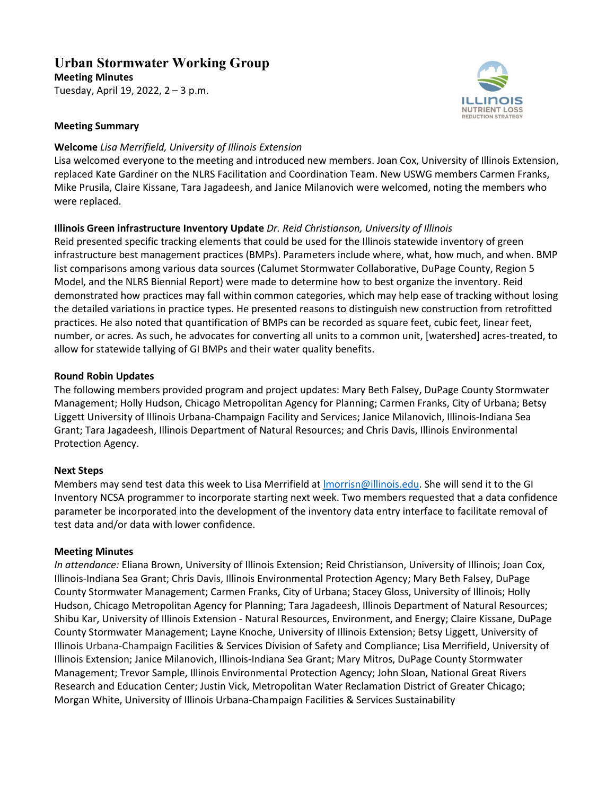# **Urban Stormwater Working Group**

**Meeting Minutes** Tuesday, April 19, 2022, 2 – 3 p.m.



#### **Meeting Summary**

#### **Welcome** *Lisa Merrifield, University of Illinois Extension*

Lisa welcomed everyone to the meeting and introduced new members. Joan Cox, University of Illinois Extension, replaced Kate Gardiner on the NLRS Facilitation and Coordination Team. New USWG members Carmen Franks, Mike Prusila, Claire Kissane, Tara Jagadeesh, and Janice Milanovich were welcomed, noting the members who were replaced.

#### **Illinois Green infrastructure Inventory Update** *Dr. Reid Christianson, University of Illinois*

Reid presented specific tracking elements that could be used for the Illinois statewide inventory of green infrastructure best management practices (BMPs). Parameters include where, what, how much, and when. BMP list comparisons among various data sources (Calumet Stormwater Collaborative, DuPage County, Region 5 Model, and the NLRS Biennial Report) were made to determine how to best organize the inventory. Reid demonstrated how practices may fall within common categories, which may help ease of tracking without losing the detailed variations in practice types. He presented reasons to distinguish new construction from retrofitted practices. He also noted that quantification of BMPs can be recorded as square feet, cubic feet, linear feet, number, or acres. As such, he advocates for converting all units to a common unit, [watershed] acres-treated, to allow for statewide tallying of GI BMPs and their water quality benefits.

#### **Round Robin Updates**

The following members provided program and project updates: Mary Beth Falsey, DuPage County Stormwater Management; Holly Hudson, Chicago Metropolitan Agency for Planning; Carmen Franks, City of Urbana; Betsy Liggett University of Illinois Urbana-Champaign Facility and Services; Janice Milanovich, Illinois-Indiana Sea Grant; Tara Jagadeesh, Illinois Department of Natural Resources; and Chris Davis, Illinois Environmental Protection Agency.

#### **Next Steps**

Members may send test data this week to Lisa Merrifield at *Imorrisn@illinois.edu.* She will send it to the GI Inventory NCSA programmer to incorporate starting next week. Two members requested that a data confidence parameter be incorporated into the development of the inventory data entry interface to facilitate removal of test data and/or data with lower confidence.

#### **Meeting Minutes**

*In attendance:* Eliana Brown, University of Illinois Extension; Reid Christianson, University of Illinois; Joan Cox, Illinois-Indiana Sea Grant; Chris Davis, Illinois Environmental Protection Agency; Mary Beth Falsey, DuPage County Stormwater Management; Carmen Franks, City of Urbana; Stacey Gloss, University of Illinois; Holly Hudson, Chicago Metropolitan Agency for Planning; Tara Jagadeesh, Illinois Department of Natural Resources; Shibu Kar, University of Illinois Extension - Natural Resources, Environment, and Energy; Claire Kissane, DuPage County Stormwater Management; Layne Knoche, University of Illinois Extension; Betsy Liggett, University of Illinois Urbana-Champaign Facilities & Services Division of Safety and Compliance; Lisa Merrifield, University of Illinois Extension; Janice Milanovich, Illinois-Indiana Sea Grant; Mary Mitros, DuPage County Stormwater Management; Trevor Sample, Illinois Environmental Protection Agency; John Sloan, National Great Rivers Research and Education Center; Justin Vick, Metropolitan Water Reclamation District of Greater Chicago; Morgan White, University of Illinois Urbana-Champaign Facilities & Services Sustainability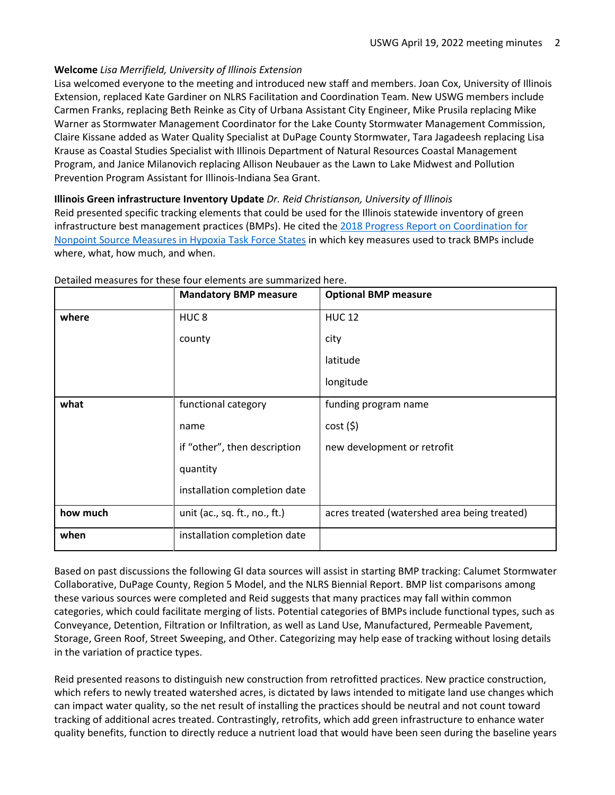### **Welcome** *Lisa Merrifield, University of Illinois Extension*

Lisa welcomed everyone to the meeting and introduced new staff and members. Joan Cox, University of Illinois Extension, replaced Kate Gardiner on NLRS Facilitation and Coordination Team. New USWG members include Carmen Franks, replacing Beth Reinke as City of Urbana Assistant City Engineer, Mike Prusila replacing Mike Warner as Stormwater Management Coordinator for the Lake County Stormwater Management Commission, Claire Kissane added as Water Quality Specialist at DuPage County Stormwater, Tara Jagadeesh replacing Lisa Krause as Coastal Studies Specialist with Illinois Department of Natural Resources Coastal Management Program, and Janice Milanovich replacing Allison Neubauer as the Lawn to Lake Midwest and Pollution Prevention Program Assistant for Illinois-Indiana Sea Grant.

**Illinois Green infrastructure Inventory Update** *Dr. Reid Christianson, University of Illinois*

Reid presented specific tracking elements that could be used for the Illinois statewide inventory of green infrastructure best management practices (BMPs). He cited the [2018 Progress Report on Coordination for](https://www.epa.gov/sites/default/files/2018-05/documents/nps_measures_progress_report_1-_may_2018.pdf)  [Nonpoint Source Measures in Hypoxia Task Force States](https://www.epa.gov/sites/default/files/2018-05/documents/nps_measures_progress_report_1-_may_2018.pdf) in which key measures used to track BMPs include where, what, how much, and when.

|          | <b>Mandatory BMP measure</b>  | <b>Optional BMP measure</b>                  |
|----------|-------------------------------|----------------------------------------------|
| where    | HUC <sub>8</sub>              | <b>HUC 12</b>                                |
|          | county                        | city                                         |
|          |                               | latitude                                     |
|          |                               | longitude                                    |
| what     | functional category           | funding program name                         |
|          | name                          | cost(5)                                      |
|          | if "other", then description  | new development or retrofit                  |
|          | quantity                      |                                              |
|          | installation completion date  |                                              |
| how much | unit (ac., sq. ft., no., ft.) | acres treated (watershed area being treated) |
| when     | installation completion date  |                                              |

#### Detailed measures for these four elements are summarized here.

Based on past discussions the following GI data sources will assist in starting BMP tracking: Calumet Stormwater Collaborative, DuPage County, Region 5 Model, and the NLRS Biennial Report. BMP list comparisons among these various sources were completed and Reid suggests that many practices may fall within common categories, which could facilitate merging of lists. Potential categories of BMPs include functional types, such as Conveyance, Detention, Filtration or Infiltration, as well as Land Use, Manufactured, Permeable Pavement, Storage, Green Roof, Street Sweeping, and Other. Categorizing may help ease of tracking without losing details in the variation of practice types.

Reid presented reasons to distinguish new construction from retrofitted practices. New practice construction, which refers to newly treated watershed acres, is dictated by laws intended to mitigate land use changes which can impact water quality, so the net result of installing the practices should be neutral and not count toward tracking of additional acres treated. Contrastingly, retrofits, which add green infrastructure to enhance water quality benefits, function to directly reduce a nutrient load that would have been seen during the baseline years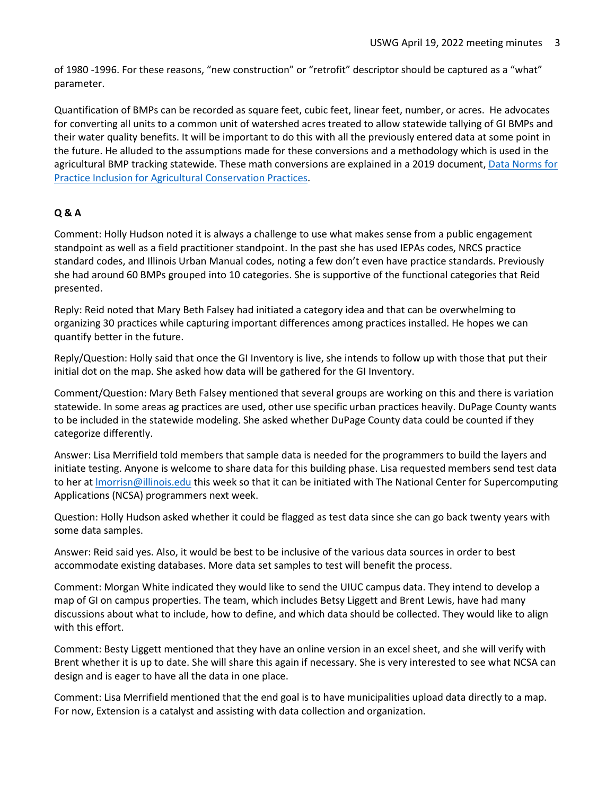of 1980 -1996. For these reasons, "new construction" or "retrofit" descriptor should be captured as a "what" parameter.

Quantification of BMPs can be recorded as square feet, cubic feet, linear feet, number, or acres. He advocates for converting all units to a common unit of watershed acres treated to allow statewide tallying of GI BMPs and their water quality benefits. It will be important to do this with all the previously entered data at some point in the future. He alluded to the assumptions made for these conversions and a methodology which is used in the agricultural BMP tracking statewide. These math conversions are explained in a 2019 document, Data Norms for [Practice Inclusion for Agricultural Conservation Practices.](http://draindrop.cropsci.illinois.edu/wp-content/uploads/2019/09/Data_Norms.pdf)

# **Q & A**

Comment: Holly Hudson noted it is always a challenge to use what makes sense from a public engagement standpoint as well as a field practitioner standpoint. In the past she has used IEPAs codes, NRCS practice standard codes, and Illinois Urban Manual codes, noting a few don't even have practice standards. Previously she had around 60 BMPs grouped into 10 categories. She is supportive of the functional categories that Reid presented.

Reply: Reid noted that Mary Beth Falsey had initiated a category idea and that can be overwhelming to organizing 30 practices while capturing important differences among practices installed. He hopes we can quantify better in the future.

Reply/Question: Holly said that once the GI Inventory is live, she intends to follow up with those that put their initial dot on the map. She asked how data will be gathered for the GI Inventory.

Comment/Question: Mary Beth Falsey mentioned that several groups are working on this and there is variation statewide. In some areas ag practices are used, other use specific urban practices heavily. DuPage County wants to be included in the statewide modeling. She asked whether DuPage County data could be counted if they categorize differently.

Answer: Lisa Merrifield told members that sample data is needed for the programmers to build the layers and initiate testing. Anyone is welcome to share data for this building phase. Lisa requested members send test data to her at Imorrisn@illinois.edu this week so that it can be initiated with The National Center for Supercomputing Applications (NCSA) programmers next week.

Question: Holly Hudson asked whether it could be flagged as test data since she can go back twenty years with some data samples.

Answer: Reid said yes. Also, it would be best to be inclusive of the various data sources in order to best accommodate existing databases. More data set samples to test will benefit the process.

Comment: Morgan White indicated they would like to send the UIUC campus data. They intend to develop a map of GI on campus properties. The team, which includes Betsy Liggett and Brent Lewis, have had many discussions about what to include, how to define, and which data should be collected. They would like to align with this effort.

Comment: Besty Liggett mentioned that they have an online version in an excel sheet, and she will verify with Brent whether it is up to date. She will share this again if necessary. She is very interested to see what NCSA can design and is eager to have all the data in one place.

Comment: Lisa Merrifield mentioned that the end goal is to have municipalities upload data directly to a map. For now, Extension is a catalyst and assisting with data collection and organization.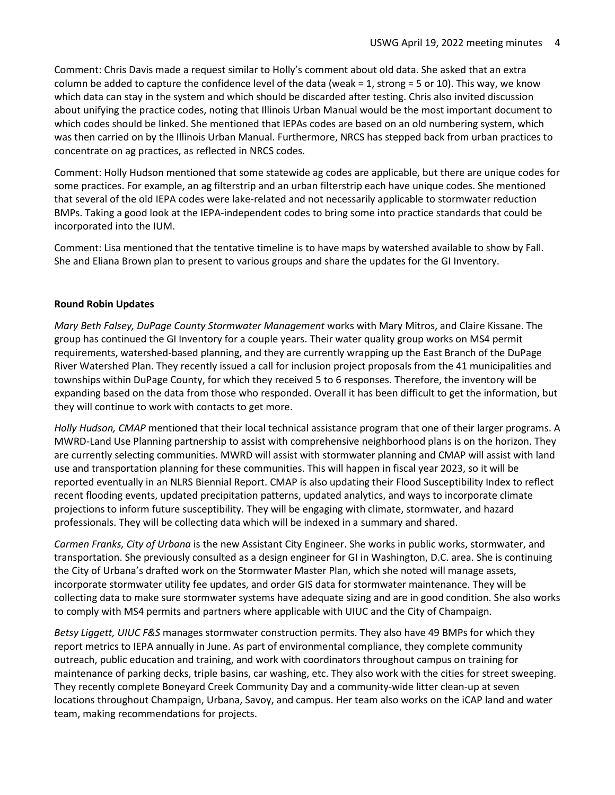Comment: Chris Davis made a request similar to Holly's comment about old data. She asked that an extra column be added to capture the confidence level of the data (weak = 1, strong = 5 or 10). This way, we know which data can stay in the system and which should be discarded after testing. Chris also invited discussion about unifying the practice codes, noting that Illinois Urban Manual would be the most important document to which codes should be linked. She mentioned that IEPAs codes are based on an old numbering system, which was then carried on by the Illinois Urban Manual. Furthermore, NRCS has stepped back from urban practices to concentrate on ag practices, as reflected in NRCS codes.

Comment: Holly Hudson mentioned that some statewide ag codes are applicable, but there are unique codes for some practices. For example, an ag filterstrip and an urban filterstrip each have unique codes. She mentioned that several of the old IEPA codes were lake-related and not necessarily applicable to stormwater reduction BMPs. Taking a good look at the IEPA-independent codes to bring some into practice standards that could be incorporated into the IUM.

Comment: Lisa mentioned that the tentative timeline is to have maps by watershed available to show by Fall. She and Eliana Brown plan to present to various groups and share the updates for the GI Inventory.

## **Round Robin Updates**

*Mary Beth Falsey, DuPage County Stormwater Management* works with Mary Mitros, and Claire Kissane. The group has continued the GI Inventory for a couple years. Their water quality group works on MS4 permit requirements, watershed-based planning, and they are currently wrapping up the East Branch of the DuPage River Watershed Plan. They recently issued a call for inclusion project proposals from the 41 municipalities and townships within DuPage County, for which they received 5 to 6 responses. Therefore, the inventory will be expanding based on the data from those who responded. Overall it has been difficult to get the information, but they will continue to work with contacts to get more.

*Holly Hudson, CMAP* mentioned that their local technical assistance program that one of their larger programs. A MWRD-Land Use Planning partnership to assist with comprehensive neighborhood plans is on the horizon. They are currently selecting communities. MWRD will assist with stormwater planning and CMAP will assist with land use and transportation planning for these communities. This will happen in fiscal year 2023, so it will be reported eventually in an NLRS Biennial Report. CMAP is also updating their Flood Susceptibility Index to reflect recent flooding events, updated precipitation patterns, updated analytics, and ways to incorporate climate projections to inform future susceptibility. They will be engaging with climate, stormwater, and hazard professionals. They will be collecting data which will be indexed in a summary and shared.

*Carmen Franks, City of Urbana* is the new Assistant City Engineer. She works in public works, stormwater, and transportation. She previously consulted as a design engineer for GI in Washington, D.C. area. She is continuing the City of Urbana's drafted work on the Stormwater Master Plan, which she noted will manage assets, incorporate stormwater utility fee updates, and order GIS data for stormwater maintenance. They will be collecting data to make sure stormwater systems have adequate sizing and are in good condition. She also works to comply with MS4 permits and partners where applicable with UIUC and the City of Champaign.

*Betsy Liggett, UIUC F&S* manages stormwater construction permits. They also have 49 BMPs for which they report metrics to IEPA annually in June. As part of environmental compliance, they complete community outreach, public education and training, and work with coordinators throughout campus on training for maintenance of parking decks, triple basins, car washing, etc. They also work with the cities for street sweeping. They recently complete Boneyard Creek Community Day and a community-wide litter clean-up at seven locations throughout Champaign, Urbana, Savoy, and campus. Her team also works on the iCAP land and water team, making recommendations for projects.